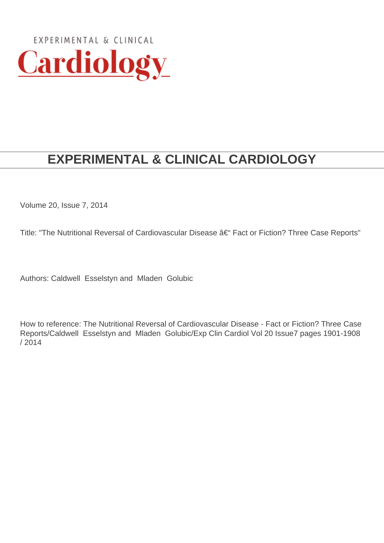

# **EXPERIMENTAL & CLINICAL CARDIOLOGY**

Volume 20, Issue 7, 2014

Title: "The Nutritional Reversal of Cardiovascular Disease â€" Fact or Fiction? Three Case Reports"

Authors: Caldwell Esselstyn and Mladen Golubic

How to reference: The Nutritional Reversal of Cardiovascular Disease - Fact or Fiction? Three Case Reports/Caldwell Esselstyn and Mladen Golubic/Exp Clin Cardiol Vol 20 Issue7 pages 1901-1908 / 2014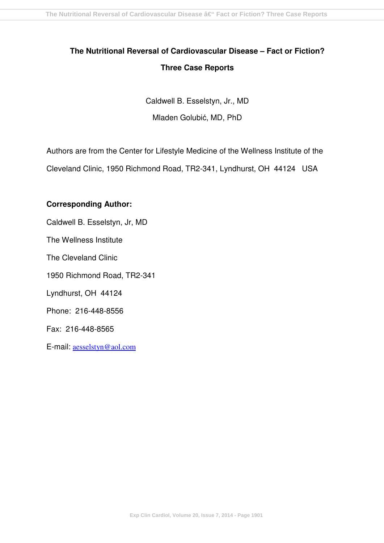## **The Nutritional Reversal of Cardiovascular Disease – Fact or Fiction? Three Case Reports**

Caldwell B. Esselstyn, Jr., MD Mladen Golubić, MD, PhD

Authors are from the Center for Lifestyle Medicine of the Wellness Institute of the Cleveland Clinic, 1950 Richmond Road, TR2-341, Lyndhurst, OH 44124 USA

### **Corresponding Author:**

Caldwell B. Esselstyn, Jr, MD

The Wellness Institute

The Cleveland Clinic

1950 Richmond Road, TR2-341

Lyndhurst, OH 44124

Phone: 216-448-8556

Fax: 216-448-8565

E-mail: aesselstyn@aol.com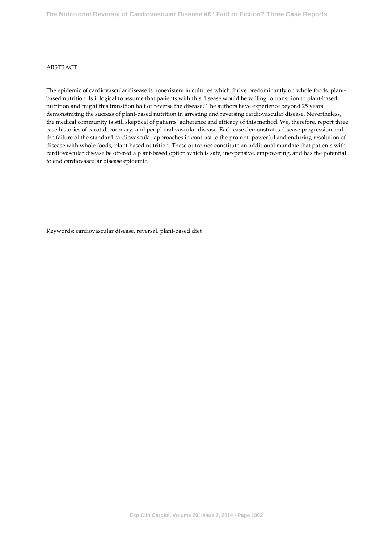#### ABSTRACT

The epidemic of cardiovascular disease is nonexistent in cultures which thrive predominantly on whole foods, plantbased nutrition. Is it logical to assume that patients with this disease would be willing to transition to plant-based nutrition and might this transition halt or reverse the disease? The authors have experience beyond 25 years demonstrating the success of plant-based nutrition in arresting and reversing cardiovascular disease. Nevertheless, the medical community is still skeptical of patients' adherence and efficacy of this method. We, therefore, report three case histories of carotid, coronary, and peripheral vascular disease. Each case demonstrates disease progression and the failure of the standard cardiovascular approaches in contrast to the prompt, powerful and enduring resolution of disease with whole foods, plant-based nutrition. These outcomes constitute an additional mandate that patients with cardiovascular disease be offered a plant-based option which is safe, inexpensive, empowering, and has the potential to end cardiovascular disease epidemic.

Keywords: cardiovascular disease, reversal, plant-based diet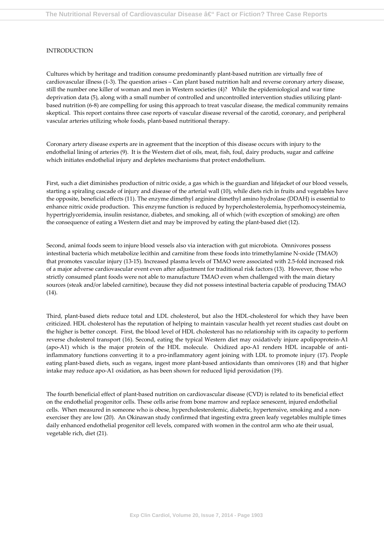#### INTRODUCTION

Cultures which by heritage and tradition consume predominantly plant-based nutrition are virtually free of cardiovascular illness (1-3). The question arises – Can plant based nutrition halt and reverse coronary artery disease, still the number one killer of woman and men in Western societies (4)? While the epidemiological and war time deprivation data (5), along with a small number of controlled and uncontrolled intervention studies utilizing plantbased nutrition (6-8) are compelling for using this approach to treat vascular disease, the medical community remains skeptical. This report contains three case reports of vascular disease reversal of the carotid, coronary, and peripheral vascular arteries utilizing whole foods, plant-based nutritional therapy.

Coronary artery disease experts are in agreement that the inception of this disease occurs with injury to the endothelial lining of arteries (9). It is the Western diet of oils, meat, fish, foul, dairy products, sugar and caffeine which initiates endothelial injury and depletes mechanisms that protect endothelium.

First, such a diet diminishes production of nitric oxide, a gas which is the guardian and lifejacket of our blood vessels, starting a spiraling cascade of injury and disease of the arterial wall (10), while diets rich in fruits and vegetables have the opposite, beneficial effects (11). The enzyme dimethyl arginine dimethyl amino hydrolase (DDAH) is essential to enhance nitric oxide production. This enzyme function is reduced by hypercholesterolemia, hyperhomocysteinemia, hypertriglyceridemia, insulin resistance, diabetes, and smoking, all of which (with exception of smoking) are often the consequence of eating a Western diet and may be improved by eating the plant-based diet (12).

Second, animal foods seem to injure blood vessels also via interaction with gut microbiota. Omnivores possess intestinal bacteria which metabolize lecithin and carnitine from these foods into trimethylamine N-oxide (TMAO) that promotes vascular injury (13-15). Increased plasma levels of TMAO were associated with 2.5-fold increased risk of a major adverse cardiovascular event even after adjustment for traditional risk factors (13). However, those who strictly consumed plant foods were not able to manufacture TMAO even when challenged with the main dietary sources (steak and/or labeled carnitine), because they did not possess intestinal bacteria capable of producing TMAO (14).

Third, plant-based diets reduce total and LDL cholesterol, but also the HDL-cholesterol for which they have been criticized. HDL cholesterol has the reputation of helping to maintain vascular health yet recent studies cast doubt on the higher is better concept. First, the blood level of HDL cholesterol has no relationship with its capacity to perform reverse cholesterol transport (16). Second, eating the typical Western diet may oxidatively injure apolipoprotein-A1 (apo-A1) which is the major protein of the HDL molecule. Oxidized apo-A1 renders HDL incapable of antiinflammatory functions converting it to a pro-inflammatory agent joining with LDL to promote injury (17). People eating plant-based diets, such as vegans, ingest more plant-based antioxidants than omnivores (18) and that higher intake may reduce apo-A1 oxidation, as has been shown for reduced lipid peroxidation (19).

The fourth beneficial effect of plant-based nutrition on cardiovascular disease (CVD) is related to its beneficial effect on the endothelial progenitor cells. These cells arise from bone marrow and replace senescent, injured endothelial cells. When measured in someone who is obese, hypercholesterolemic, diabetic, hypertensive, smoking and a nonexerciser they are low (20). An Okinawan study confirmed that ingesting extra green leafy vegetables multiple times daily enhanced endothelial progenitor cell levels, compared with women in the control arm who ate their usual, vegetable rich, diet (21).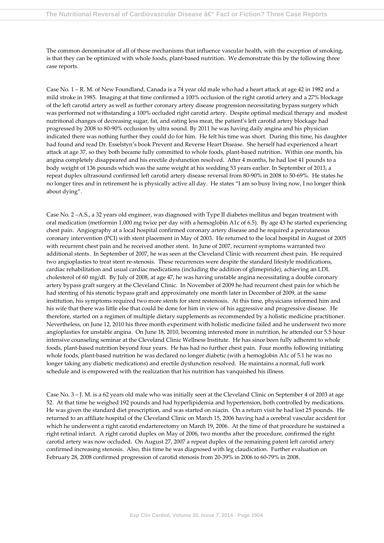The common denominator of all of these mechanisms that influence vascular health, with the exception of smoking, is that they can be optimized with whole foods, plant-based nutrition. We demonstrate this by the following three case reports.

Case No. 1 – R. M. of New Foundland, Canada is a 74 year old male who had a heart attack at age 42 in 1982 and a mild stroke in 1985. Imaging at that time confirmed a 100% occlusion of the right carotid artery and a 27% blockage of the left carotid artery as well as further coronary artery disease progression necessitating bypass surgery which was performed not withstanding a 100% occluded right carotid artery. Despite optimal medical therapy and modest nutritional changes of decreasing sugar, fat, and eating less meat, the patient's left carotid artery blockage had progressed by 2008 to 80-90% occlusion by ultra sound. By 2011 he was having daily angina and his physician indicated there was nothing further they could do for him. He felt his time was short. During this time, his daughter had found and read Dr. Esselstyn's book Prevent and Reverse Heart Disease. She herself had experienced a heart attack at age 37, so they both became fully committed to whole foods, plant-based nutrition. Within one month, his angina completely disappeared and his erectile dysfunction resolved. After 4 months, he had lost 41 pounds to a body weight of 136 pounds which was the same weight at his wedding 53 years earlier. In September of 2013, a repeat duplex ultrasound confirmed left carotid artery disease reversal from 80-90% in 2008 to 50-69%. He states he no longer tires and in retirement he is physically active all day. He states "I am so busy living now, I no longer think about dying".

Case No. 2 –A.S., a 32 years old engineer, was diagnosed with Type II diabetes mellitus and began treatment with oral medication (metformin 1,000 mg twice per day with a hemoglobin A1c of 6.5). By age 43 he started experiencing chest pain. Angiography at a local hospital confirmed coronary artery disease and he required a percutaneous coronary intervention (PCI) with stent placement in May of 2003. He returned to the local hospital in August of 2005 with recurrent chest pain and he received another stent. In June of 2007, recurrent symptoms warranted two additional stents. In September of 2007, he was seen at the Cleveland Clinic with recurrent chest pain. He required two angioplasties to treat stent re-stenosis. These recurrences were despite the standard lifestyle modifications, cardiac rehabilitation and usual cardiac medications (including the addition of glimepiride), achieving an LDL cholesterol of 60 mg/dl. By July of 2008, at age 47, he was having unstable angina necessitating a double coronary artery bypass graft surgery at the Cleveland Clinic. In November of 2009 he had recurrent chest pain for which he had stenting of his stenotic bypass graft and approximately one month later in December of 2009, at the same institution, his symptoms required two more stents for stent restenosis. At this time, physicians informed him and his wife that there was little else that could be done for him in view of his aggressive and progressive disease. He therefore, started on a regimen of multiple dietary supplements as recommended by a holistic medicine practitioner. Nevertheless, on June 12, 2010 his three month experiment with holistic medicine failed and he underwent two more angioplasties for unstable angina. On June 18, 2010, becoming interested more in nutrition, he attended our 5.5 hour intensive counseling seminar at the Cleveland Clinic Wellness Institute. He has since been fully adherent to whole foods, plant-based nutrition beyond four years. He has had no further chest pain. Four months following initiating whole foods, plant-based nutrition he was declared no longer diabetic (with a hemoglobin A1c of 5.1 he was no longer taking any diabetic medications) and erectile dysfunction resolved. He maintains a normal, full work schedule and is empowered with the realization that his nutrition has vanquished his illness.

Case No. 3 – J. M. is a 62 years old male who was initially seen at the Cleveland Clinic on September 4 of 2003 at age 52. At that time he weighed 192 pounds and had hyperlipidemia and hypertension, both controlled by medications. He was given the standard diet prescription, and was started on niacin. On a return visit he had lost 25 pounds. He returned to an affiliate hospital of the Cleveland Clinic on March 15, 2006 having had a cerebral vascular accident for which he underwent a right carotid endarterectomy on March 19, 2006. At the time of that procedure he sustained a right retinal infarct. A right carotid duplex on May of 2006, two months after the procedure, confirmed the right carotid artery was now occluded. On August 27, 2007 a repeat duplex of the remaining patent left carotid artery confirmed increasing stenosis. Also, this time he was diagnosed with leg claudication. Further evaluation on February 28, 2008 confirmed progression of carotid stenosis from 20-39% in 2006 to 60-79% in 2008.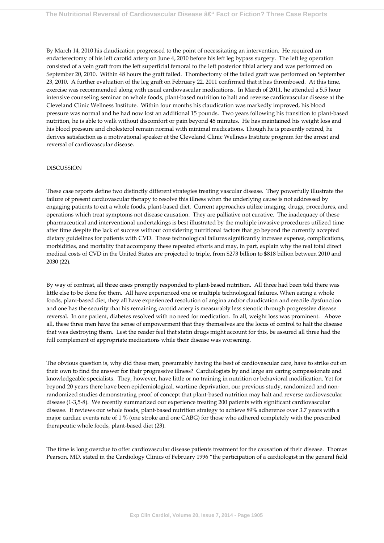By March 14, 2010 his claudication progressed to the point of necessitating an intervention. He required an endarterectomy of his left carotid artery on June 4, 2010 before his left leg bypass surgery. The left leg operation consisted of a vein graft from the left superficial femoral to the left posterior tibial artery and was performed on September 20, 2010. Within 48 hours the graft failed. Thombectomy of the failed graft was performed on September 23, 2010. A further evaluation of the leg graft on February 22, 2011 confirmed that it has thrombosed. At this time, exercise was recommended along with usual cardiovascular medications. In March of 2011, he attended a 5.5 hour intensive counseling seminar on whole foods, plant-based nutrition to halt and reverse cardiovascular disease at the Cleveland Clinic Wellness Institute. Within four months his claudication was markedly improved, his blood pressure was normal and he had now lost an additional 15 pounds. Two years following his transition to plant-based nutrition, he is able to walk without discomfort or pain beyond 45 minutes. He has maintained his weight loss and his blood pressure and cholesterol remain normal with minimal medications. Though he is presently retired, he derives satisfaction as a motivational speaker at the Cleveland Clinic Wellness Institute program for the arrest and reversal of cardiovascular disease.

#### **DISCUSSION**

These case reports define two distinctly different strategies treating vascular disease. They powerfully illustrate the failure of present cardiovascular therapy to resolve this illness when the underlying cause is not addressed by engaging patients to eat a whole foods, plant-based diet. Current approaches utilize imaging, drugs, procedures, and operations which treat symptoms not disease causation. They are palliative not curative. The inadequacy of these pharmaceutical and interventional undertakings is best illustrated by the multiple invasive procedures utilized time after time despite the lack of success without considering nutritional factors that go beyond the currently accepted dietary guidelines for patients with CVD. These technological failures significantly increase expense, complications, morbidities, and mortality that accompany these repeated efforts and may, in part, explain why the real total direct medical costs of CVD in the United States are projected to triple, from \$273 billion to \$818 billion between 2010 and 2030 (22).

By way of contrast, all three cases promptly responded to plant-based nutrition. All three had been told there was little else to be done for them. All have experienced one or multiple technological failures. When eating a whole foods, plant-based diet, they all have experienced resolution of angina and/or claudication and erectile dysfunction and one has the security that his remaining carotid artery is measurably less stenotic through progressive disease reversal. In one patient, diabetes resolved with no need for medication. In all, weight loss was prominent. Above all, these three men have the sense of empowerment that they themselves are the locus of control to halt the disease that was destroying them. Lest the reader feel that statin drugs might account for this, be assured all three had the full complement of appropriate medications while their disease was worsening.

The obvious question is, why did these men, presumably having the best of cardiovascular care, have to strike out on their own to find the answer for their progressive illness? Cardiologists by and large are caring compassionate and knowledgeable specialists. They, however, have little or no training in nutrition or behavioral modification. Yet for beyond 20 years there have been epidemiological, wartime deprivation, our previous study, randomized and nonrandomized studies demonstrating proof of concept that plant-based nutrition may halt and reverse cardiovascular disease (1-3,5-8). We recently summarized our experience treating 200 patients with significant cardiovascular disease. It reviews our whole foods, plant-based nutrition strategy to achieve 89% adherence over 3.7 years with a major cardiac events rate of 1 % (one stroke and one CABG) for those who adhered completely with the prescribed therapeutic whole foods, plant-based diet (23).

The time is long overdue to offer cardiovascular disease patients treatment for the causation of their disease. Thomas Pearson, MD, stated in the Cardiology Clinics of February 1996 "the participation of a cardiologist in the general field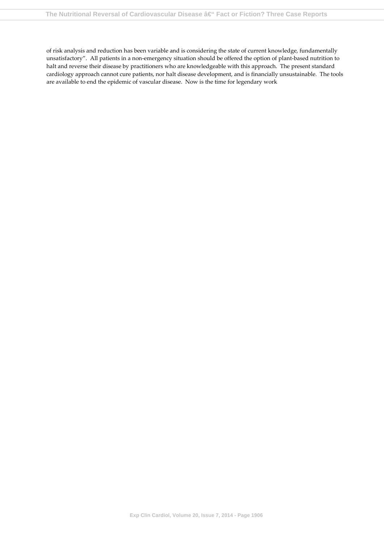of risk analysis and reduction has been variable and is considering the state of current knowledge, fundamentally unsatisfactory". All patients in a non-emergency situation should be offered the option of plant-based nutrition to halt and reverse their disease by practitioners who are knowledgeable with this approach. The present standard cardiology approach cannot cure patients, nor halt disease development, and is financially unsustainable. The tools are available to end the epidemic of vascular disease. Now is the time for legendary work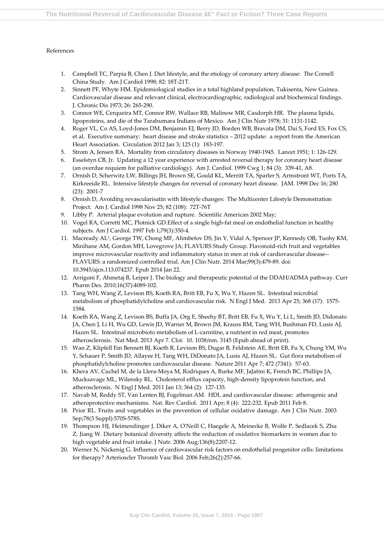#### References

- 1. Campbell TC, Parpia B, Chen J. Diet lifestyle, and the etiology of coronary artery disease: The Cornell China Study. Am J Cardiol 1998; 82: 18T-21T.
- 2. Sinnett PF, Whyte HM. Epidemiological studies in a total highland population, Tukisenta, New Guinea. Cardiovascular disease and relevant clinical, electrocardiographic, radiological and biochemical findings. J. Chronic Dis 1973; 26: 265-290.
- 3. Connor WE, Cerqueira MT, Connor RW, Wallace RB, Malinow MR, Casdorph HR. The plasma lipids, lipoproteins, and die of the Tarahumara Indians of Mexico. Am J Clin Nutr 1978; 31: 1131-1142.
- 4. Roger VL, Co AS, Loyd-Jones DM, Benjamin EJ, Berry JD, Borden WB, Bravata DM, Dai S, Ford ES, Fox CS, et al. Executive summary: heart disease and stroke statistics – 2012 update: a report from the American Heart Association. Circulation 2012 Jan 3; 125 (1): 183-197.
- 5. Strom A, Jensen RA. Mortality from circulatory diseases in Norway 1940-1945. Lancet 1951; 1: 126-129.
- 6. Esselstyn CB, Jr. Updating a 12 year experience with arrested reversal therapy for coronary heart disease (an overdue requiem for palliative cardiology). Am J. Cardiol. 1999 Cwg 1; 84 (3): 339-41, A8.
- 7. Ornish D, Scherwitz LW, Billings JH, Brown SE, Gould KL, Merritt TA, Sparler S, Armstront WT, Ports TA, Kirkreeide RL. Intensive lifestyle changes for reversal of coronary heart disease. JAM. 1998 Dec 16; 280 (23): 2001-7
- 8. Ornish D, Avoiding revascularisatin with lifestyle changes: The Multicenter Lifestyle Demonstration Project. Am J. Cardiol 1998 Nov 25; 82 (108): 72T-76T
- 9. Libby P. Arterial plaque evolution and rupture. Scientific American 2002 May;
- 10. Vogel RA, Corretti MC, Plotnick GD.Effect of a single high-fat meal on endothelial function in healthy subjects. Am J Cardiol. 1997 Feb 1;79(3):350-4.
- 11. Macready AL<sup>1</sup> , George TW, Chong MF, Alimbetov DS, Jin Y, Vidal A, Spencer JP, Kennedy OB, Tuohy KM, Minihane AM, Gordon MH, Lovegrove JA; FLAVURS Study Group. Flavonoid-rich fruit and vegetables improve microvascular reactivity and inflammatory status in men at risk of cardiovascular disease-- FLAVURS: a randomized controlled trial. Am J Clin Nutr. 2014 Mar;99(3):479-89. doi: 10.3945/ajcn.113.074237. Epub 2014 Jan 22.
- 12. Arrigoni F, Ahmetaj B, Leiper J. The biology and therapeutic potential of the DDAH/ADMA pathway. Curr Pharm Des. 2010;16(37):4089-102.
- 13. Tang WH, Wang Z, Levison BS, Koeth RA, Britt EB, Fu X, Wu Y, Hazen SL. Intestinal microbial metabolism of phosphatidylcholine and cardiovascular risk. N Engl J Med. 2013 Apr 25; 368 (17): 1575- 1584.
- 14. Koeth RA, Wang Z, Levison BS, Buffa JA, Org E, Sheehy BT, Britt EB, Fu X, Wu Y, Li L, Smith JD, Didonato JA, Chen J, Li H, Wu GD, Lewis JD, Warner M, Brown JM, Krauss RM, Tang WH, Bushman FD, Lusis AJ, Hazen SL. Intestinal microbioto metabolism of L-carnitine, a nutrient in red meat, promotes atherosclerosis. Nat Med. 2013 Apr 7. Cloi: 10. 1038/nm. 3145 (Epub ahead of print).
- 15. Wan Z, Klipfell Em Bennett BJ, Koeth R, Levison BS, Dugar B, Feldstein AE, Britt EB, Fu X, Chung YM, Wu Y, Schauer P, Smith JD, Allayee H, Tang WH, DiDonato JA, Lusis AJ, Hazen SL. Gut flora metabolism of phosphatidylcholine promotes cardiovascular disease. Nature 2011 Apr 7; 472 (7341): 57-63.
- 16. Khera AV, Cuchel M, de la Llera-Moya M, Rodriques A, Burke MF, JaJafmi K, French BC, Phillips JA, Mucksavage ML, Wilensky RL. Cholesterol efflux capacity, high-density lipoprotein function, and atherosclerosis. N Engl J Med. 2011 Jan 13; 364 (2): 127-135.
- 17. Navab M, Reddy ST, Van Lenten BJ, Fogelman AM. HDL and cardiovascular disease: atherogenic and atheroprotective mechanisms. Nat. Rev Cardiol. 2011 Apr; 8 (4): 222-232. Epub 2011 Feb 8.
- 18. Prior RL. Fruits and vegetables in the prevention of cellular oxidative damage. Am J Clin Nutr. 2003 Sep;78(3 Suppl):570S-578S.
- 19. Thompson HJ, Heimendinger J, Diker A, O'Neill C, Haegele A, Meinecke B, Wolfe P, Sedlacek S, Zhu Z, Jiang W. Dietary botanical diversity affects the reduction of oxidative biomarkers in women due to high vegetable and fruit intake. J Nutr. 2006 Aug;136(8):2207-12.
- 20. Werner N, Nickenig G. Influence of cardiovascular risk factors on endothelial progenitor cells: limitations for therapy? Arterioscler Thromb Vasc Biol. 2006 Feb;26(2):257-66.